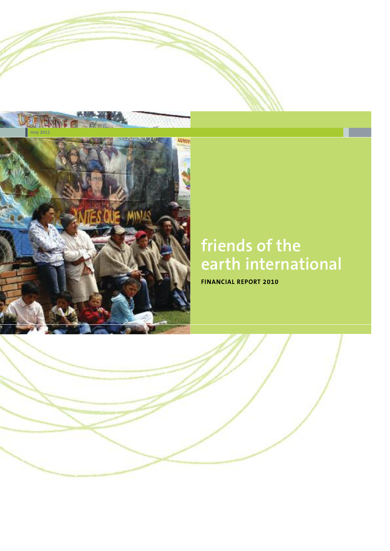

# **friends of the earth international**

**FINANCIAL REPORT 2010**

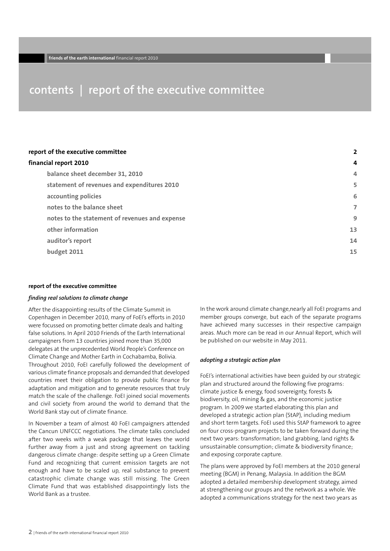### **contents | report of the executive committee**

#### **report of the executive committee 2**

#### **financial report 2010 4**

| balance sheet december 31, 2010                | 4  |
|------------------------------------------------|----|
| statement of revenues and expenditures 2010    | 5  |
| accounting policies                            | 6  |
| notes to the balance sheet                     | 7  |
| notes to the statement of revenues and expense | 9  |
| other information                              | 13 |
| auditor's report                               | 14 |
| budget 2011                                    | 15 |
|                                                |    |

#### **report of the executive committee**

#### *finding real solutions to climate change*

After the disappointing results of the Climate Summit in Copenhagen in December 2010, many of FoEI's efforts in 2010 were focussed on promoting better climate deals and halting false solutions. In April 2010 Friends of the Earth International campaigners from 13 countries joined more than 35,000 delegates at the unprecedented World People's Conference on Climate Change and Mother Earth in Cochabamba, Bolivia. Throughout 2010, FoEI carefully followed the development of various climate finance proposals and demanded that developed countries meet their obligation to provide public finance for adaptation and mitigation and to generate resources that truly match the scale of the challenge. FoEI joined social movements and civil society from around the world to demand that the World Bank stay out of climate finance.

In November a team of almost 40 FoEI campaigners attended the Cancun UNFCCC negotiations. The climate talks concluded after two weeks with a weak package that leaves the world further away from a just and strong agreement on tackling dangerous climate change: despite setting up a Green Climate Fund and recognizing that current emission targets are not enough and have to be scaled up, real substance to prevent catastrophic climate change was still missing. The Green Climate Fund that was established disappointingly lists the World Bank as a trustee.

In the work around climate change,nearly all FoEI programs and member groups converge, but each of the separate programs have achieved many successes in their respective campaign areas. Much more can be read in our Annual Report, which will be published on our website in May 2011.

#### *adopting a strategic action plan*

FoEI's international activities have been guided by our strategic plan and structured around the following five programs: climate justice & energy, food sovereignty, forests & biodiversity, oil, mining & gas, and the economic justice program. In 2009 we started elaborating this plan and developed a strategic action plan (StAP), including medium and short term targets. FoEI used this StAP framework to agree on four cross-program projects to be taken forward during the next two years: transformation; land grabbing, land rights & unsustainable consumption; climate & biodiversity finance; and exposing corporate capture.

The plans were approved by FoEI members at the 2010 general meeting (BGM) in Penang, Malaysia. In addition the BGM adopted a detailed membership development strategy, aimed at strengthening our groups and the network as a whole. We adopted a communications strategy for the next two years as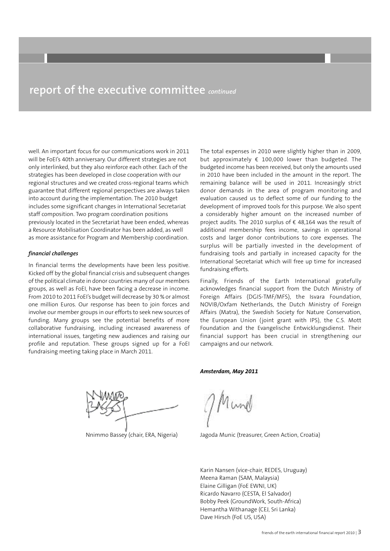### **report of the executive committee** *continued*

well. An important focus for our communications work in 2011 will be FoEI's 40th anniversary. Our different strategies are not only interlinked, but they also reinforce each other. Each of the strategies has been developed in close cooperation with our regional structures and we created cross-regional teams which guarantee that different regional perspectives are always taken into account during the implementation. The 2010 budget includes some significant changes in International Secretariat staff composition. Two program coordination positions previously located in the Secretariat have been ended, whereas a Resource Mobilisation Coordinator has been added, as well as more assistance for Program and Membership coordination.

#### *financial challenges*

In financial terms the developments have been less positive. Kicked off by the global financial crisis and subsequent changes of the political climate in donor countries many of our members groups, as well as FoEI, have been facing a decrease in income. From 2010 to 2011 FoEI's budget will decrease by 30 % or almost one million Euros. Our response has been to join forces and involve our member groups in our efforts to seek new sources of funding. Many groups see the potential benefits of more collaborative fundraising, including increased awareness of international issues, targeting new audiences and raising our profile and reputation. These groups signed up for a FoEI fundraising meeting taking place in March 2011.

The total expenses in 2010 were slightly higher than in 2009, but approximately  $\epsilon$  100,000 lower than budgeted. The budgeted income has been received, but only the amounts used in 2010 have been included in the amount in the report. The remaining balance will be used in 2011. Increasingly strict donor demands in the area of program monitoring and evaluation caused us to deflect some of our funding to the development of improved tools for this purpose. We also spent a considerably higher amount on the increased number of project audits. The 2010 surplus of € 48,164 was the result of additional membership fees income, savings in operational costs and larger donor contributions to core expenses. The surplus will be partially invested in the development of fundraising tools and partially in increased capacity for the International Secretariat which will free up time for increased fundraising efforts.

Finally, Friends of the Earth International gratefully acknowledges financial support from the Dutch Ministry of Foreign Affairs (DGIS-TMF/MFS), the Isvara Foundation, NOVIB/Oxfam Netherlands, the Dutch Ministry of Foreign Affairs (Matra), the Swedish Society for Nature Conservation, the European Union (joint grant with IPS), the C.S. Mott Foundation and the Evangelische Entwicklungsdienst. Their financial support has been crucial in strengthening our campaigns and our network.

*Amsterdam, May 2011*

Nnimmo Bassey (chair, ERA, Nigeria)

Jagoda Munic (treasurer, Green Action, Croatia)

Karin Nansen (vice-chair, REDES, Uruguay) Meena Raman (SAM, Malaysia) Elaine Gilligan (FoE EWNI, UK) Ricardo Navarro (CESTA, El Salvador) Bobby Peek (GroundWork, South-Africa) Hemantha Withanage (CEJ, Sri Lanka) Dave Hirsch (FoE US, USA)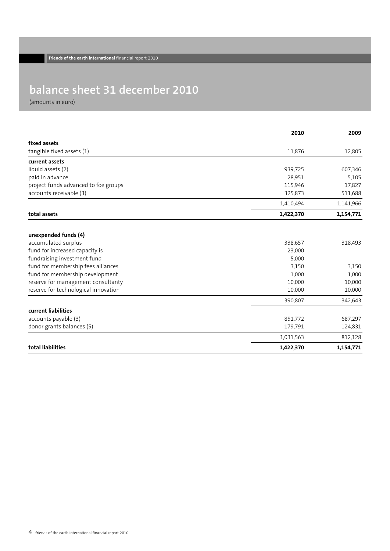## **balance sheet 31 december 2010**

(amounts in euro)

|                                      | 2010      | 2009      |
|--------------------------------------|-----------|-----------|
| fixed assets                         |           |           |
| tangible fixed assets (1)            | 11,876    | 12,805    |
| current assets                       |           |           |
| liquid assets (2)                    | 939,725   | 607,346   |
| paid in advance                      | 28,951    | 5,105     |
| project funds advanced to foe groups | 115,946   | 17,827    |
| accounts receivable (3)              | 325,873   | 511,688   |
|                                      | 1,410,494 | 1,141,966 |
| total assets                         | 1,422,370 | 1,154,771 |
| unexpended funds (4)                 |           |           |
| accumulated surplus                  | 338,657   | 318,493   |
| fund for increased capacity is       | 23,000    |           |
| fundraising investment fund          | 5,000     |           |
| fund for membership fees alliances   | 3,150     | 3,150     |
| fund for membership development      | 1,000     | 1,000     |
| reserve for management consultanty   | 10,000    | 10,000    |
| reserve for technological innovation | 10,000    | 10,000    |
|                                      | 390,807   | 342,643   |
| current liabilities                  |           |           |
| accounts payable (3)                 | 851,772   | 687,297   |
| donor grants balances (5)            | 179,791   | 124,831   |
|                                      | 1,031,563 | 812,128   |
| total liabilities                    | 1,422,370 | 1,154,771 |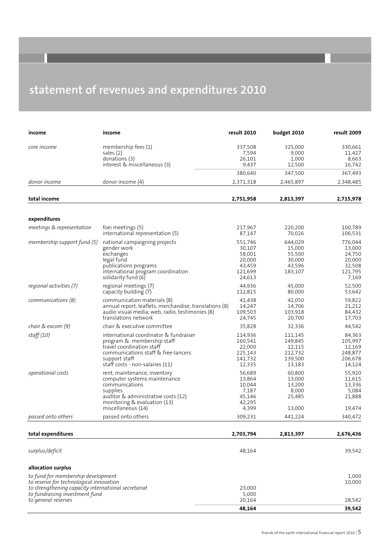## **statement of revenues and expenditures 2010**

| income                                                                                                                                                                 | income                                                                                                                                                                                       | result 2010                                                          | budget 2010                                                  | result 2009                                                         |
|------------------------------------------------------------------------------------------------------------------------------------------------------------------------|----------------------------------------------------------------------------------------------------------------------------------------------------------------------------------------------|----------------------------------------------------------------------|--------------------------------------------------------------|---------------------------------------------------------------------|
| core income                                                                                                                                                            | membership fees (1)<br>sales (2)<br>donations (3)<br>interest & miscellaneous (3)                                                                                                            | 337,508<br>7,594<br>26,101<br>9,437                                  | 325,000<br>9,000<br>1,000<br>12,500                          | 330,661<br>11,427<br>8,663<br>16,742                                |
|                                                                                                                                                                        |                                                                                                                                                                                              | 380,640                                                              | 347,500                                                      | 367,493                                                             |
| donor income                                                                                                                                                           | donor income (4)                                                                                                                                                                             | 2,371,318                                                            | 2,465,897                                                    | 2,348,485                                                           |
| total income                                                                                                                                                           |                                                                                                                                                                                              | 2,751,958                                                            | 2,813,397                                                    | 2,715,978                                                           |
| expenditures                                                                                                                                                           |                                                                                                                                                                                              |                                                                      |                                                              |                                                                     |
| meetings & representation                                                                                                                                              | foei meetings (5)<br>international representation (5)                                                                                                                                        | 217,967<br>87,147                                                    | 220,200<br>70,026                                            | 100,789<br>106,531                                                  |
| membership support fund (5)                                                                                                                                            | national campaigning projects<br>gender work<br>exchanges<br>legal fund<br>publications programs<br>international program coordination<br>solidarity fund (6)                                | 551,746<br>30,107<br>58,001<br>20,000<br>43,459<br>121,699<br>24,613 | 644,029<br>15,000<br>55,500<br>30,000<br>43,596<br>183,107   | 776,044<br>13,000<br>24,750<br>20,000<br>32,508<br>121,795<br>7,169 |
| regional activities (7)                                                                                                                                                | regional meetings (7)<br>capacity building (7)                                                                                                                                               | 44,936<br>112,815                                                    | 45,000<br>80,000                                             | 52,500<br>53,642                                                    |
| communications (8)                                                                                                                                                     | communication materials (8)<br>annual report, leaflets, merchandise, translations (8)<br>audio visual media, web, radio, testimonies (8)<br>translations network                             | 41,438<br>14,247<br>109,503<br>24,745                                | 42,050<br>14,706<br>103,918<br>20,700                        | 59,822<br>21,212<br>84,432<br>17,703                                |
| chair & excom (9)                                                                                                                                                      | chair & executive committee                                                                                                                                                                  | 35,828                                                               | 32,336                                                       | 44,542                                                              |
| staff(10)                                                                                                                                                              | international coordinator & fundraiser<br>program & membership staff<br>travel coordination staff<br>communications staff & free-lancers<br>support staff<br>staff costs - non-salaries (11) | 114,936<br>160,541<br>22,000<br>225,143<br>141,732<br>12,335         | 111,145<br>149,845<br>12,115<br>212,732<br>139,500<br>13,183 | 84,363<br>105,997<br>12,169<br>248,877<br>206,678<br>14,124         |
| <i>operational costs</i>                                                                                                                                               | rent, maintenance, inventory<br>computer systems maintenance<br>communications<br>supplies<br>auditor & administrative costs (12)<br>monitoring & evaluation (13)<br>miscellaneous (14)      | 56,689<br>13,864<br>10,044<br>7,187<br>45,146<br>42,295<br>4,399     | 60,800<br>13,000<br>13,200<br>8,000<br>25,485<br>13,000      | 55,920<br>11,615<br>13,336<br>5,084<br>21,888<br>19,474             |
| passed onto others                                                                                                                                                     | passed onto others                                                                                                                                                                           | 309,231                                                              | 441,224                                                      | 340,472                                                             |
| total expenditures                                                                                                                                                     |                                                                                                                                                                                              | 2,703,794                                                            | 2,813,397                                                    | 2,676,436                                                           |
| surplus/deficit                                                                                                                                                        |                                                                                                                                                                                              | 48,164                                                               |                                                              | 39,542                                                              |
| allocation surplus                                                                                                                                                     |                                                                                                                                                                                              |                                                                      |                                                              |                                                                     |
| to fund for membership development<br>to reserve for technological innovation<br>to strengthening capacity international secretariat<br>to fundraising investment fund |                                                                                                                                                                                              | 23,000<br>5,000                                                      |                                                              | 1,000<br>10,000                                                     |
| to general reserves                                                                                                                                                    |                                                                                                                                                                                              | 20,164                                                               |                                                              | 28,542                                                              |
|                                                                                                                                                                        |                                                                                                                                                                                              | 48,164                                                               |                                                              | 39,542                                                              |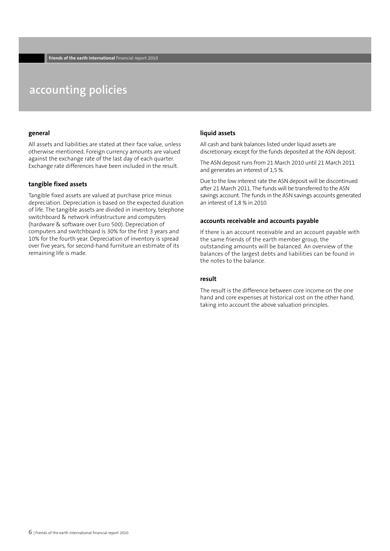### **accounting policies**

#### **general**

All assets and liabilities are stated at their face value, unless otherwise mentioned. Foreign currency amounts are valued against the exchange rate of the last day of each quarter. Exchange rate differences have been included in the result.

#### **tangible fixed assets**

Tangible fixed assets are valued at purchase price minus depreciation. Depreciation is based on the expected duration of life. The tangible assets are divided in inventory, telephone switchboard & network infrastructure and computers (hardware & software over Euro 500). Depreciation of computers and switchboard is 30% for the first 3 years and 10% for the fourth year. Depreciation of inventory is spread over five years, for second-hand furniture an estimate of its remaining life is made.

#### **liquid assets**

All cash and bank balances listed under liquid assets are discretionary, except for the funds deposited at the ASN deposit.

The ASN deposit runs from 21 March 2010 until 21 March 2011 and generates an interest of 1,5 %.

Due to the low interest rate the ASN deposit will be discontinued after 21 March 2011. The funds will be transferred to the ASN savings account. The funds in the ASN savings accounts generated an interest of 1,8 % in 2010.

#### **accounts receivable and accounts payable**

If there is an account receivable and an account payable with the same friends of the earth member group, the outstanding amounts will be balanced. An overview of the balances of the largest debts and liabilities can be found in the notes to the balance.

#### **result**

The result is the difference between core income on the one hand and core expenses at historical cost on the other hand, taking into account the above valuation principles.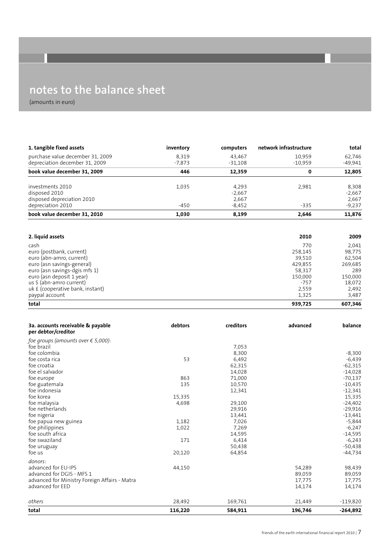### **notes to the balance sheet**

(amounts in euro)

| 1. tangible fixed assets                                 | inventory      | computers      | network infrastructure | total                |
|----------------------------------------------------------|----------------|----------------|------------------------|----------------------|
| purchase value december 31, 2009                         | 8,319          | 43,467         | 10,959                 | 62,746               |
| depreciation december 31, 2009                           | $-7,873$       | $-31,108$      | $-10,959$              | $-49,941$            |
| book value december 31, 2009                             | 446            | 12,359         | 0                      | 12,805               |
| investments 2010                                         | 1,035          | 4,293          | 2,981                  | 8,308                |
| disposed 2010                                            |                | $-2,667$       |                        | $-2,667$             |
| disposed depreciation 2010                               |                | 2,667          |                        | 2,667                |
| depreciation 2010                                        | $-450$         | $-8,452$       | $-335$                 | $-9,237$             |
| book value december 31, 2010                             | 1,030          | 8,199          | 2,646                  | 11,876               |
|                                                          |                |                |                        |                      |
| 2. liquid assets                                         |                |                | 2010                   | 2009                 |
| cash                                                     |                |                | 770                    | 2,041                |
| euro (postbank, current)                                 |                |                | 258,145                | 98,775               |
| euro (abn-amro, current)                                 |                |                | 39,510                 | 62,504               |
| euro (asn savings-general)                               |                |                | 429,855                | 269,685              |
| euro (asn savings-dgis mfs 1)                            |                |                | 58,317                 | 289                  |
| euro (asn deposit 1 year)                                |                |                | 150,000                | 150,000              |
| us \$ (abn-amro current)                                 |                |                | $-757$                 | 18,072               |
| uk £ (cooperative bank, instant)                         |                |                | 2,559                  | 2,492                |
| paypal account                                           |                |                | 1,325                  | 3,487                |
| total                                                    |                |                | 939,725                | 607,346              |
|                                                          | debtors        | creditors      |                        |                      |
| 3a. accounts receivable & payable<br>per debtor/creditor |                |                | advanced               | balance              |
| foe groups (amounts over $\epsilon$ 5,000):              |                |                |                        |                      |
| foe brazil                                               |                | 7,053          |                        |                      |
| foe colombia                                             |                | 8,300          |                        | $-8,300$             |
| foe costa rica                                           | 53             | 6,492          |                        | $-6,439$             |
| foe croatia                                              |                | 62,315         |                        | $-62,315$            |
| foe el salvador                                          |                | 14,028         |                        | $-14,028$            |
| foe europe                                               | 863            | 71,000         |                        | -70,137              |
| foe guatemala                                            | 135            | 10,570         |                        | -10,435              |
| foe indonesia                                            |                | 12,341         |                        | $-12,341$            |
| foe korea                                                | 15,335         |                |                        | 15,335               |
| foe malaysia                                             | 4,698          | 29,100         |                        | $-24,402$            |
| foe netherlands                                          |                | 29,916         |                        | $-29,916$            |
| foe nigeria                                              |                | 13,441         |                        | $-13,441$            |
| foe papua new guinea<br>foe philippines                  | 1,182<br>1,022 | 7,026<br>7,269 |                        | $-5,844$<br>$-6,247$ |
| foe south africa                                         |                | 14,595         |                        | $-14,595$            |
| foe swaziland                                            | 171            | 6,414          |                        | $-6,243$             |
| foe uruguay                                              |                | 50,438         |                        | $-50,438$            |
| foe us                                                   | 20,120         | 64,854         |                        | $-44,734$            |
| donors:                                                  |                |                |                        |                      |
| advanced for EU-IPS                                      | 44,150         |                | 54,289                 | 98,439               |
| advanced for DGIS - MFS 1                                |                |                | 89,059                 | 89,059               |
| advanced for Ministry Foreign Affairs - Matra            |                |                | 17,775                 | 17,775               |
| advanced for EED                                         |                |                | 14,174                 | 14,174               |
| others                                                   | 28,492         | 169,761        | 21,449                 | $-119,820$           |
| total                                                    | 116,220        | 584,911        | 196,746                | $-264,892$           |
|                                                          |                |                |                        |                      |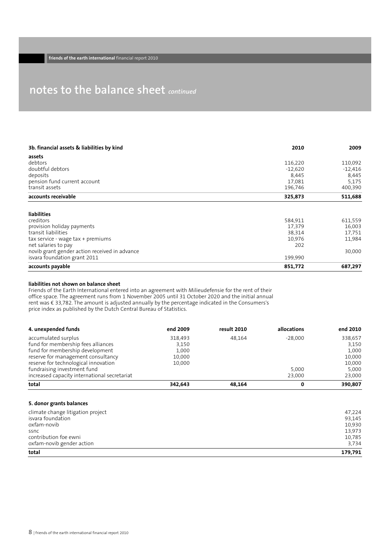### **notes to the balance sheet** *continued*

| 3b. financial assets & liabilities by kind    | 2010      | 2009      |
|-----------------------------------------------|-----------|-----------|
| assets                                        |           |           |
| debtors                                       | 116,220   | 110,092   |
| doubtful debtors                              | $-12.620$ | $-12,416$ |
| deposits                                      | 8,445     | 8,445     |
| pension fund current account                  | 17,081    | 5,175     |
| transit assets                                | 196,746   | 400,390   |
| accounts receivable                           | 325,873   | 511,688   |
| <b>liabilities</b>                            |           |           |
| creditors                                     | 584,911   | 611,559   |
| provision holiday payments                    | 17,379    | 16,003    |
| transit liabilities                           | 38,314    | 17,751    |
| tax service - wage tax + premiums             | 10,976    | 11,984    |
| net salaries to pay                           | 202       |           |
| novib grant gender action received in advance |           | 30,000    |
| isvara foundation grant 2011                  | 199,990   |           |
| accounts payable                              | 851,772   | 687,297   |

#### **liabilities not shown on balance sheet**

Friends of the Earth International entered into an agreement with Milieudefensie for the rent of their office space. The agreement runs from 1 November 2005 until 31 October 2020 and the initial annual rent was € 33,782. The amount is adjusted annually by the percentage indicated in the Consumers's price index as published by the Dutch Central Bureau of Statistics.

| 4. unexpended funds                          | end 2009 | result 2010 | allocations | end 2010 |
|----------------------------------------------|----------|-------------|-------------|----------|
| accumulated surplus                          | 318.493  | 48.164      | $-28.000$   | 338.657  |
| fund for membership fees alliances           | 3.150    |             |             | 3,150    |
| fund for membership development              | 1.000    |             |             | 1,000    |
| reserve for management consultancy           | 10,000   |             |             | 10,000   |
| reserve for technological innovation         | 10.000   |             |             | 10,000   |
| fundraising investment fund                  |          |             | 5.000       | 5,000    |
| increased capacity international secretariat |          |             | 23.000      | 23,000   |
| total                                        | 342,643  | 48.164      |             | 390,807  |

#### **5. donor grants balances**

| climate change litigation project | 47,224  |
|-----------------------------------|---------|
| isvara foundation                 | 93,145  |
| oxfam-novib                       | 10.930  |
| ssnc                              | 13,973  |
| contribution foe ewni             | 10,785  |
| oxfam-novib gender action         | 3,734   |
| total                             | 179,791 |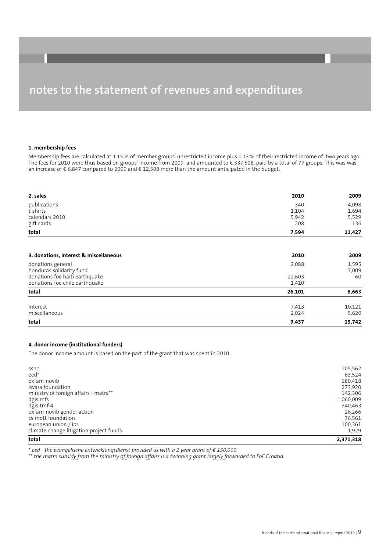#### **1. membership fees**

Membership fees are calculated at 1.15 % of member groups' unrestricted income plus 0,13 % of their restricted income of two years ago. The fees for 2010 were thus based on groups' income from 2009 and amounted to € 337,508, paid by a total of 77 groups. This was was an increase of € 6,847 compared to 2009 and € 12,508 more than the amount anticipated in the budget.

| total          | 7,594 | 11,427 |
|----------------|-------|--------|
| gift cards     | 208   | 136    |
| calendars 2010 | 5,942 | 5,529  |
| t-shirts       | 1,104 | 1,694  |
| publications   | 340   | 4,098  |
| 2. sales       | 2010  | 2009   |
|                |       |        |

| 3. donations, interest & miscellaneous        | 2010   | 2009           |
|-----------------------------------------------|--------|----------------|
| donations general<br>honduras solidarity fund | 2,088  | 1,595<br>7,009 |
| donations foe haiti earthquake                | 22,603 | 60             |
| donations foe chile earthquake                | 1,410  |                |
| total                                         | 26,101 | 8,663          |
| interest                                      | 7,413  | 10,121         |
| miscellaneous                                 | 2,024  | 5,620          |
| total                                         | 9,437  | 15,742         |

#### **4. donor income (institutional funders)**

The donor income amount is based on the part of the grant that was spent in 2010.

| total                                   | 2,371,318 |
|-----------------------------------------|-----------|
| climate change litigation project funds | 1,929     |
| european union / ips                    | 100,361   |
| cs mott foundation                      | 76,561    |
| oxfam-novib gender action               | 26,266    |
| dgis tmf-4                              | 340,463   |
| dgis mfs I                              | 1,060,009 |
| ministry of foreign affairs - matra**   | 142,306   |
| isvara foundation                       | 273,920   |
| oxfam-novib                             | 180,418   |
| eed <sup>*</sup>                        | 63,524    |
| ssnc                                    | 105,562   |
|                                         |           |

\* *eed - the evangelische entwicklungsdienst provided us with a 2 year grant of € 150,000*

the matra subsidy from the ministry of foreign affairs is a twinning grant largely forwarded to FoE Croatia.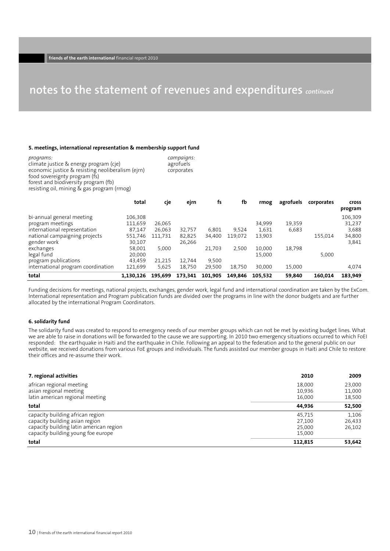#### **5. meetings, international representation & membership support fund**

| programs:                                         | campaigns: |
|---------------------------------------------------|------------|
| climate justice & energy program (cje)            | agrofuels  |
|                                                   |            |
| economic justice & resisting neoliberalism (ejrn) | corporates |
| food sovereignty program (fs)                     |            |
| forest and biodiversity program (fb)              |            |
| resisting oil, mining & gas program (rmog)        |            |

|                                    | total     | cje     | ejrn    | fs      | fb      | rmog    | agrofuels | corporates | <b>Cross</b><br>program |
|------------------------------------|-----------|---------|---------|---------|---------|---------|-----------|------------|-------------------------|
| bi-annual general meeting          | 106,308   |         |         |         |         |         |           |            | 106,309                 |
| program meetings                   | 111,659   | 26,065  |         |         |         | 34,999  | 19,359    |            | 31,237                  |
| international representation       | 87.147    | 26,063  | 32.757  | 6.801   | 9,524   | 1,631   | 6,683     |            | 3,688                   |
| national campaigning projects      | 551,746   | 111,731 | 82,825  | 34,400  | 119,072 | 13,903  |           | 155,014    | 34,800                  |
| gender work                        | 30,107    |         | 26,266  |         |         |         |           |            | 3,841                   |
| exchanges                          | 58,001    | 5,000   |         | 21,703  | 2,500   | 10.000  | 18,798    |            |                         |
| legal fund                         | 20,000    |         |         |         |         | 15,000  |           | 5.000      |                         |
| program publications               | 43.459    | 21,215  | 12.744  | 9.500   |         |         |           |            |                         |
| international program coordination | 121,699   | 5,625   | 18,750  | 29,500  | 18,750  | 30,000  | 15,000    |            | 4,074                   |
| total                              | 1.130.126 | 195.699 | 173,341 | 101.905 | 149.846 | 105.532 | 59,840    | 160.014    | 183,949                 |

Funding decisions for meetings, national projects, exchanges, gender work, legal fund and international coordination are taken by the ExCom. International representation and Program publication funds are divided over the programs in line with the donor budgets and are further allocated by the international Program Coordinators.

#### **6. solidarity fund**

The solidarity fund was created to respond to emergency needs of our member groups which can not be met by existing budget lines. What we are able to raise in donations will be forwarded to the cause we are supporting. In 2010 two emergency situations occurred to which FoEI responded: the earthquake in Haiti and the earthquake in Chile. Following an appeal to the federation and to the general public on our website, we received donations from various FoE groups and individuals. The funds assisted our member groups in Haiti and Chile to restore their offices and re-assume their work.

| 7. regional activities                  | 2010    | 2009   |
|-----------------------------------------|---------|--------|
| african regional meeting                | 18,000  | 23,000 |
| asian regional meeting                  | 10.936  | 11,000 |
| latin american regional meeting         | 16,000  | 18,500 |
| total                                   | 44,936  | 52,500 |
| capacity building african region        | 45,715  | 1,106  |
| capacity building asian region          | 27,100  | 26,433 |
| capacity building latin american region | 25,000  | 26,102 |
| capacity building young foe europe      | 15,000  |        |
| total                                   | 112,815 | 53,642 |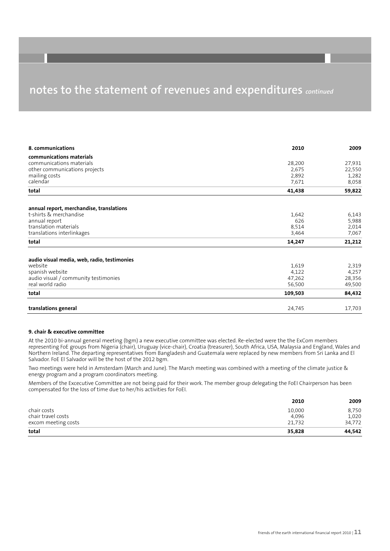| 8. communications                           | 2010    | 2009   |
|---------------------------------------------|---------|--------|
| communications materials                    |         |        |
| communications materials                    | 28,200  | 27,931 |
| other communications projects               | 2,675   | 22,550 |
| mailing costs                               | 2,892   | 1,282  |
| calendar                                    | 7,671   | 8,058  |
| total                                       | 41,438  | 59,822 |
| annual report, merchandise, translations    |         |        |
| t-shirts & merchandise                      | 1,642   | 6,143  |
| annual report                               | 626     | 5,988  |
| translation materials                       | 8,514   | 2,014  |
| translations interlinkages                  | 3,464   | 7,067  |
| total                                       | 14,247  | 21,212 |
| audio visual media, web, radio, testimonies |         |        |
| website                                     | 1,619   | 2,319  |
| spanish website                             | 4,122   | 4,257  |
| audio visual / community testimonies        | 47,262  | 28,356 |
| real world radio                            | 56,500  | 49,500 |
| total                                       | 109,503 | 84,432 |
| translations general                        | 24,745  | 17,703 |

#### **9. chair & executive committee**

At the 2010 bi-annual general meeting (bgm) a new executive committee was elected. Re-elected were the the ExCom members representing FoE groups from Nigeria (chair), Uruguay (vice-chair), Croatia (treasurer), South Africa, USA, Malaysia and England, Wales and Northern Ireland. The departing representatives from Bangladesh and Guatemala were replaced by new members from Sri Lanka and El Salvador. FoE El Salvador will be the host of the 2012 bgm.

Two meetings were held in Amsterdam (March and June). The March meeting was combined with a meeting of the climate justice & energy program and a program coordinators meeting.

Members of the Excecutive Committee are not being paid for their work. The member group delegating the FoEI Chairperson has been compensated for the loss of time due to her/his activities for FoEI.

|                     | 2010   | 2009   |
|---------------------|--------|--------|
| chair costs         | 10,000 | 8,750  |
| chair travel costs  | 4.096  | 1,020  |
| excom meeting costs | 21.732 | 34,772 |
| total               | 35,828 | 44.542 |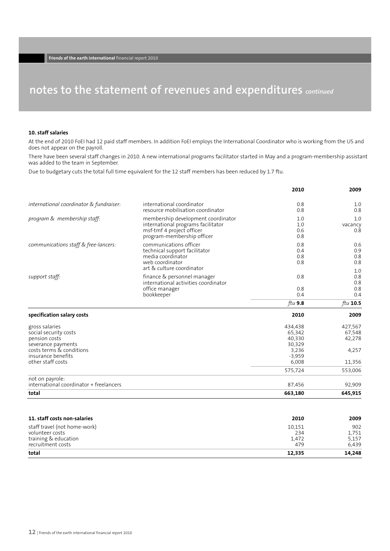#### **10. staff salaries**

At the end of 2010 FoEI had 12 paid staff members. In addition FoEI employs the International Coordinator who is working from the US and does not appear on the payroll.

There have been several staff changes in 2010. A new international programs facilitator started in May and a program-membership assistant was added to the team in September.

Due to budgetary cuts the total full time equivalent for the 12 staff members has been reduced by 1.7 ftu.

|                                                                                                                                                       |                                                                                                                                     | 2010                                                                | 2009                                           |
|-------------------------------------------------------------------------------------------------------------------------------------------------------|-------------------------------------------------------------------------------------------------------------------------------------|---------------------------------------------------------------------|------------------------------------------------|
| international coordinator & fundraiser:                                                                                                               | international coordinator<br>resource mobilisation coordinator                                                                      | 0.8<br>0.8                                                          | 1.0<br>0.8                                     |
| program & membership staff:                                                                                                                           | membership development coordinator<br>international programs facilitator<br>msf-tmf 4 project officer<br>program-membership officer | 1.0<br>1.0<br>0.6<br>0.8                                            | 1.0<br>vacancy<br>0.8                          |
| communications staff & free-lancers:                                                                                                                  | communications officer<br>technical support facilitator<br>media coordinator<br>web coordinator<br>art & culture coordinator        | 0.8<br>0.4<br>0.8<br>0.8                                            | 0.6<br>0.9<br>0.8<br>0.8<br>1.0                |
| support staff:                                                                                                                                        | finance & personnel manager<br>international activities coordinator<br>office manager<br>bookkeeper                                 | 0.8<br>0.8<br>0.4                                                   | 0.8<br>0.8<br>0.8<br>0.4                       |
|                                                                                                                                                       |                                                                                                                                     | ftu $9.8$                                                           | ftu $10.5$                                     |
| specification salary costs                                                                                                                            |                                                                                                                                     | 2010                                                                | 2009                                           |
| gross salaries<br>social security costs<br>pension costs<br>severance payments<br>costs terms & conditions<br>insurance benefits<br>other staff costs |                                                                                                                                     | 434,438<br>65,342<br>40,330<br>30,329<br>3,236<br>$-3,959$<br>6,008 | 427,567<br>67,548<br>42,278<br>4,257<br>11,356 |
| not on payrole:                                                                                                                                       |                                                                                                                                     | 575,724                                                             | 553,006                                        |
| international coordinator + freelancers                                                                                                               |                                                                                                                                     | 87,456                                                              | 92,909                                         |
| total                                                                                                                                                 |                                                                                                                                     | 663,180                                                             | 645,915                                        |
| 11. staff costs non-salaries                                                                                                                          |                                                                                                                                     | 2010                                                                | 2009                                           |
| staff travel (not home-work)<br>volunteer costs<br>training & education<br>recruitment costs                                                          |                                                                                                                                     | 10,151<br>234<br>1,472<br>479                                       | 902<br>1,751<br>5,157<br>6,439                 |

**12,335**

**14,248**

**total**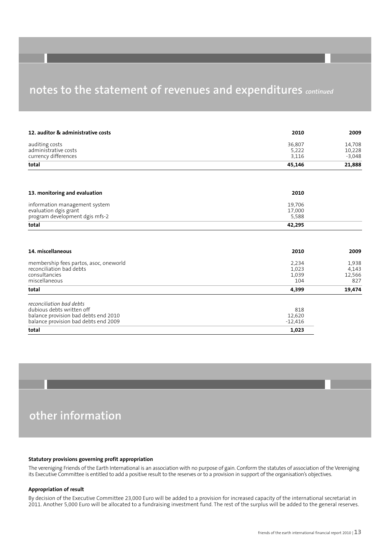| 12. auditor & administrative costs     | 2010      | 2009     |
|----------------------------------------|-----------|----------|
| auditing costs                         | 36,807    | 14,708   |
| administrative costs                   | 5,222     | 10,228   |
| currency differences                   | 3,116     | $-3,048$ |
| total                                  | 45,146    | 21,888   |
|                                        | 2010      |          |
| 13. monitoring and evaluation          |           |          |
| information management system          | 19,706    |          |
| evaluation dgis grant                  | 17,000    |          |
| program development dgis mfs-2         | 5,588     |          |
| total                                  | 42,295    |          |
|                                        |           |          |
| 14. miscellaneous                      | 2010      | 2009     |
| membership fees partos, asoc, oneworld | 2,234     | 1,938    |
| reconciliation bad debts               | 1,023     | 4,143    |
| consultancies                          | 1,039     | 12,566   |
| miscellaneous                          | 104       | 827      |
| total                                  | 4,399     | 19,474   |
| reconciliation bad debts               |           |          |
| dubious debts written off              | 818       |          |
| balance provision bad debts end 2010   | 12,620    |          |
| balance provision bad debts end 2009   | $-12,416$ |          |
| total                                  | 1,023     |          |

### **other information**

#### **Statutory provisions governing profit appropriation**

The vereniging Friends of the Earth International is an association with no purpose of gain. Conform the statutes of association of the Vereniging its Executive Committee is entitled to add a positive result to the reserves or to a provision in support of the organisation's objectives.

#### **Appropriation of result**

By decision of the Executive Committee 23,000 Euro will be added to a provision for increased capacity of the international secretariat in 2011. Another 5,000 Euro will be allocated to a fundraising investment fund. The rest of the surplus will be added to the general reserves.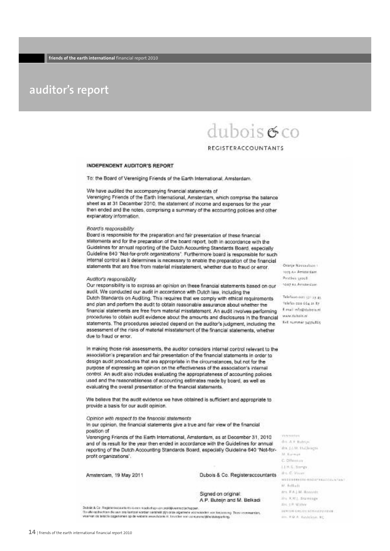### **auditor's report**

# $dubois\sigma$ co

#### **REGISTERACCOUNTANTS**

#### INDEPENDENT AUDITOR'S REPORT

To: the Board of Vereniging Friends of the Earth International, Amsterdam.

We have audited the accompanying financial statements of

Vereniging Friends of the Earth International, Amsterdam, which comprise the balance sheet as at 31 December 2010, the statement of income and expenses for the year then ended and the notes, comprising a summary of the accounting policies and other explanatory information.

#### Board's responsibility

Board is responsible for the preparation and fair presentation of these financial statements and for the preparation of the board report, both in accordance with the Guidelines for annual reporting of the Dutch Accounting Standards Board, especially Guideline 640 'Not-for-profit organizations'. Furthermore board is responsible for such internal control as it determines is necessary to enable the preparation of the financial statements that are free from material misstatement, whether due to fraud or error.

#### Auditor's responsibility

Our responsibility is to express an opinion on these financial statements based on our audit. We conducted our audit in accordance with Dutch law, including the Dutch Standards on Auditing. This requires that we comply with ethical requirements and plan and perform the audit to obtain reasonable assurance about whether the financial statements are free from material misstatement. An audit involves performing procedures to obtain audit evidence about the amounts and disclosures in the financial www.fubricar statements. The procedures selected depend on the auditor's judgment, including the assessment of the risks of material misstatement of the financial statements, whether due to fraud or error.

in making those risk assessments, the auditor considers internal control relevant to the association's preparation and fair presentation of the financial statements in order to design audit procedures that are appropriate in the circumstances, but not for the purpose of expressing an opinion on the effectiveness of the association's internal control. An audit also includes evaluating the appropriateness of accounting policies used and the reasonableness of accounting estimates made by board, as well as evaluating the overall presentation of the financial statements.

We believe that the audit evidence we have obtained is sufficient and appropriate to provide a basis for our audit opinion.

#### Opinion with respect to the financial statements

In our opinion, the financial statements give a true and fair view of the financial position of

Vereniging Friends of the Earth International, Amsterdam, as at December 31, 2010 and of its result for the year then ended in accordance with the Guidelines for annual reporting of the Dutch Accounting Standards Board, especially Guideline 540 "Not-forprofit organizations".

Amsterdam, 19 May 2011

Dubois & Co. Registeraccountants (the C. Views

Signed on original: A.P. Butein and M. Belkadi

Dutski A Co. Ragiotenscoaustants is een maakelhap van proklijkwenectechapper.<br>Op uite opdrachten die een om kentpor worden verstreid zijn onde algemene voorwieselen van keskeening<br>vreervan dit bikistie opgehomen op die web ing. Direct voorwearders. Orazón Nacionalidas s 1015 Av. Americans **Pasthes cross** 1007 BA Amsterdam

Telefoxo o as 131 x3 45 telefax can 654 at ity E-realizefa@dobeis.ed Ref. summer saysudds

Visionimi drs. A.F. Balean M. Kurman C Offenson LLH.G. Spergy MERCHANISE ROOM TELEVISION IN **DC** Reflieds grs. F.A.) M. Broavis. the KWL Entrances IN 18:3000 *LERIDA CREAVISATILATULAISE* 

Inc. 69.8. Galdenn, RC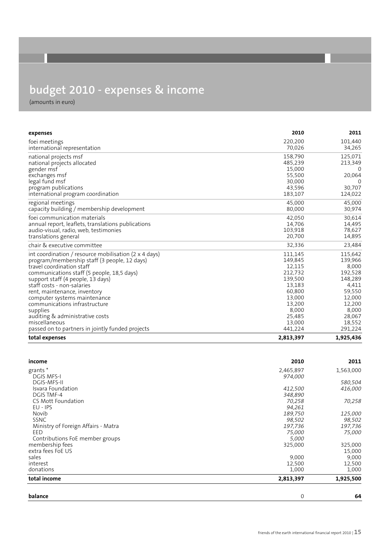# **budget 2010 - expenses & income**

(amounts in euro)

| expenses                                                     | 2010      | 2011      |
|--------------------------------------------------------------|-----------|-----------|
| foei meetings                                                | 220.200   | 101,440   |
| international representation                                 | 70,026    | 34,265    |
| national projects msf                                        | 158,790   | 125,071   |
| national projects allocated                                  | 485,239   | 213,349   |
| gender msf                                                   | 15,000    | 0         |
| exchanges msf                                                | 55,500    | 20,064    |
| legal fund msf                                               | 30,000    | 0         |
| program publications                                         | 43,596    | 30,707    |
| international program coordination                           | 183,107   | 124,022   |
| regional meetings                                            | 45,000    | 45,000    |
| capacity building / membership development                   | 80,000    | 30,974    |
| foei communication materials                                 | 42,050    | 30,614    |
| annual report, leaflets, translations publications           | 14,706    | 14,495    |
| audio-visual, radio, web, testimonies                        | 103,918   | 78,627    |
| translations general                                         | 20,700    | 14,895    |
| chair & executive committee                                  | 32,336    | 23,484    |
| int coordination / resource mobilisation (2 $\times$ 4 days) | 111,145   | 115,642   |
| program/membership staff (3 people, 12 days)                 | 149,845   | 139,966   |
| travel coordination staff                                    | 12,115    | 8,000     |
| communications staff (5 people, 18,5 days)                   | 212,732   | 192,528   |
| support staff (4 people, 13 days)                            | 139,500   | 148,289   |
| staff costs - non-salaries                                   | 13,183    | 4,411     |
| rent, maintenance, inventory                                 | 60,800    | 59,550    |
| computer systems maintenance                                 | 13,000    | 12,000    |
| communications infrastructure                                | 13,200    | 12,200    |
| supplies                                                     | 8,000     | 8,000     |
| auditing & administrative costs                              | 25,485    | 28,067    |
| miscellaneous                                                | 13,000    | 18,552    |
| passed on to partners in jointly funded projects             | 441,224   | 291,224   |
| total expenses                                               | 2,813,397 | 1,925,436 |

| income                              | 2010        | 2011      |
|-------------------------------------|-------------|-----------|
| grants*                             | 2,465,897   | 1,563,000 |
| <b>DGIS MFS-I</b>                   | 974,000     |           |
| <b>DGIS-MFS-II</b>                  |             | 580,504   |
| Isvara Foundation                   | 412,500     | 416,000   |
| <b>DGIS TMF-4</b>                   | 348,890     |           |
| CS Mott Foundation                  | 70,258      | 70,258    |
| $EU - IPS$                          | 94,261      |           |
| Novib                               | 189,750     | 125,000   |
| <b>SSNC</b>                         | 98,502      | 98,502    |
| Ministry of Foreign Affairs - Matra | 197,736     | 197,736   |
| EED                                 | 75,000      | 75,000    |
| Contributions FoE member groups     | 5,000       |           |
| membership fees                     | 325,000     | 325,000   |
| extra fees FoE US                   |             | 15,000    |
| sales                               | 9,000       | 9,000     |
| interest                            | 12,500      | 12,500    |
| donations                           | 1,000       | 1,000     |
| total income                        | 2,813,397   | 1,925,500 |
| balance                             | $\mathbf 0$ | 64        |